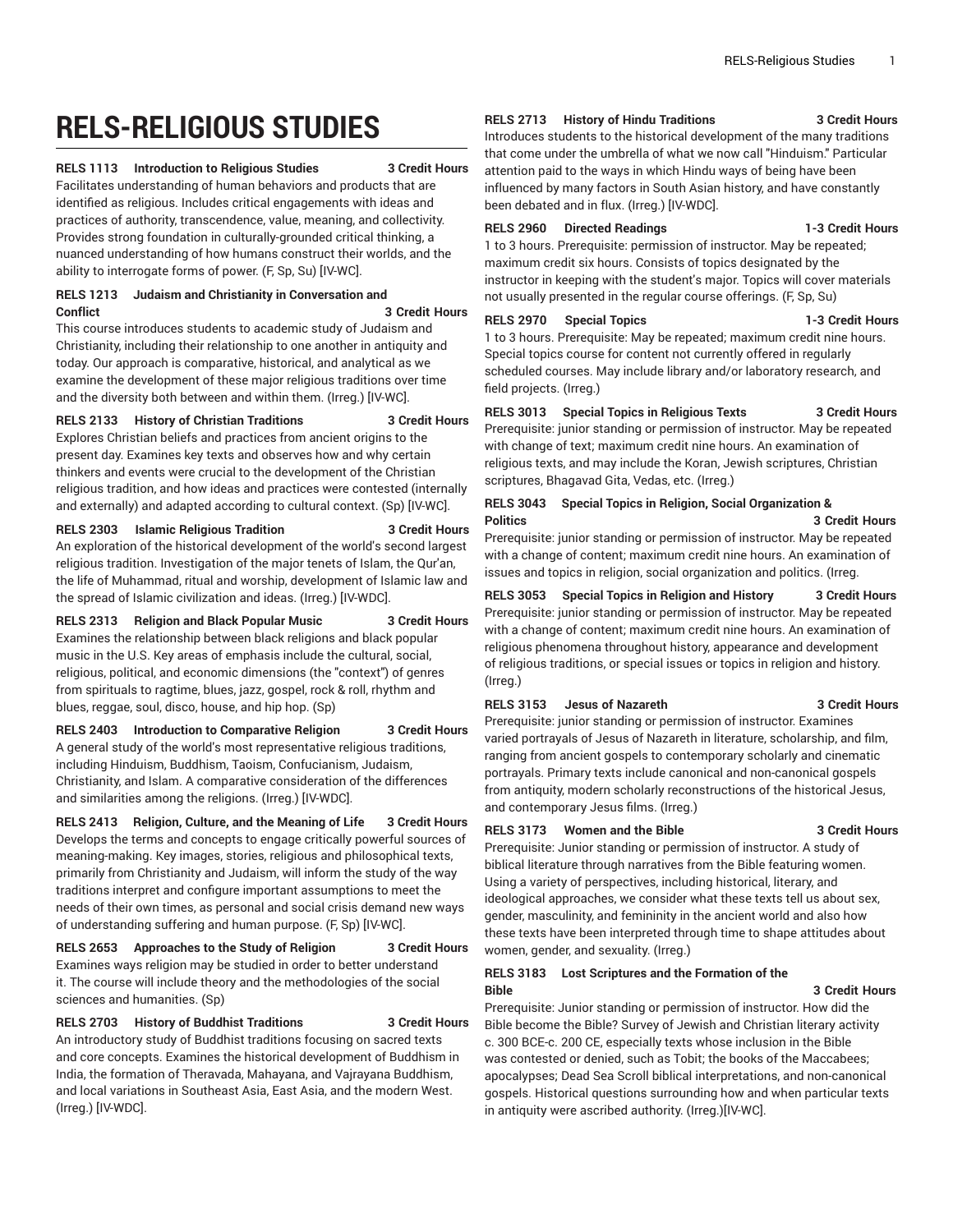# **RELS-RELIGIOUS STUDIES**

# **RELS 1113 Introduction to Religious Studies 3 Credit Hours**

Facilitates understanding of human behaviors and products that are identified as religious. Includes critical engagements with ideas and practices of authority, transcendence, value, meaning, and collectivity. Provides strong foundation in culturally-grounded critical thinking, a nuanced understanding of how humans construct their worlds, and the ability to interrogate forms of power. (F, Sp, Su) [IV-WC].

#### **RELS 1213 Judaism and Christianity in Conversation and Conflict 3 Credit Hours**

This course introduces students to academic study of Judaism and Christianity, including their relationship to one another in antiquity and today. Our approach is comparative, historical, and analytical as we examine the development of these major religious traditions over time and the diversity both between and within them. (Irreg.) [IV-WC].

# **RELS 2133 History of Christian Traditions 3 Credit Hours**

Explores Christian beliefs and practices from ancient origins to the present day. Examines key texts and observes how and why certain thinkers and events were crucial to the development of the Christian religious tradition, and how ideas and practices were contested (internally and externally) and adapted according to cultural context. (Sp) [IV-WC].

### **RELS 2303 Islamic Religious Tradition 3 Credit Hours**

An exploration of the historical development of the world's second largest religious tradition. Investigation of the major tenets of Islam, the Qur'an, the life of Muhammad, ritual and worship, development of Islamic law and the spread of Islamic civilization and ideas. (Irreg.) [IV-WDC].

**RELS 2313 Religion and Black Popular Music 3 Credit Hours** Examines the relationship between black religions and black popular music in the U.S. Key areas of emphasis include the cultural, social, religious, political, and economic dimensions (the "context") of genres from spirituals to ragtime, blues, jazz, gospel, rock & roll, rhythm and blues, reggae, soul, disco, house, and hip hop. (Sp)

**RELS 2403 Introduction to Comparative Religion 3 Credit Hours** A general study of the world's most representative religious traditions, including Hinduism, Buddhism, Taoism, Confucianism, Judaism, Christianity, and Islam. A comparative consideration of the differences and similarities among the religions. (Irreg.) [IV-WDC].

**RELS 2413 Religion, Culture, and the Meaning of Life 3 Credit Hours** Develops the terms and concepts to engage critically powerful sources of meaning-making. Key images, stories, religious and philosophical texts, primarily from Christianity and Judaism, will inform the study of the way traditions interpret and configure important assumptions to meet the needs of their own times, as personal and social crisis demand new ways of understanding suffering and human purpose. (F, Sp) [IV-WC].

**RELS 2653 Approaches to the Study of Religion 3 Credit Hours** Examines ways religion may be studied in order to better understand it. The course will include theory and the methodologies of the social sciences and humanities. (Sp)

# **RELS 2703 History of Buddhist Traditions 3 Credit Hours**

An introductory study of Buddhist traditions focusing on sacred texts and core concepts. Examines the historical development of Buddhism in India, the formation of Theravada, Mahayana, and Vajrayana Buddhism, and local variations in Southeast Asia, East Asia, and the modern West. (Irreg.) [IV-WDC].

# **RELS 2713 History of Hindu Traditions 3 Credit Hours**

Introduces students to the historical development of the many traditions that come under the umbrella of what we now call "Hinduism." Particular attention paid to the ways in which Hindu ways of being have been influenced by many factors in South Asian history, and have constantly been debated and in flux. (Irreg.) [IV-WDC].

# **RELS 2960 Directed Readings 1-3 Credit Hours**

1 to 3 hours. Prerequisite: permission of instructor. May be repeated; maximum credit six hours. Consists of topics designated by the instructor in keeping with the student's major. Topics will cover materials not usually presented in the regular course offerings. (F, Sp, Su)

**RELS 2970 Special Topics 1-3 Credit Hours**

1 to 3 hours. Prerequisite: May be repeated; maximum credit nine hours. Special topics course for content not currently offered in regularly scheduled courses. May include library and/or laboratory research, and field projects. (Irreg.)

**RELS 3013 Special Topics in Religious Texts 3 Credit Hours** Prerequisite: junior standing or permission of instructor. May be repeated

with change of text; maximum credit nine hours. An examination of religious texts, and may include the Koran, Jewish scriptures, Christian scriptures, Bhagavad Gita, Vedas, etc. (Irreg.)

# **RELS 3043 Special Topics in Religion, Social Organization & Politics 3 Credit Hours**

Prerequisite: junior standing or permission of instructor. May be repeated with a change of content; maximum credit nine hours. An examination of issues and topics in religion, social organization and politics. (Irreg.

**RELS 3053 Special Topics in Religion and History 3 Credit Hours** Prerequisite: junior standing or permission of instructor. May be repeated with a change of content; maximum credit nine hours. An examination of religious phenomena throughout history, appearance and development of religious traditions, or special issues or topics in religion and history. (Irreg.)

# **RELS 3153 Jesus of Nazareth 3 Credit Hours**

Prerequisite: junior standing or permission of instructor. Examines varied portrayals of Jesus of Nazareth in literature, scholarship, and film, ranging from ancient gospels to contemporary scholarly and cinematic portrayals. Primary texts include canonical and non-canonical gospels from antiquity, modern scholarly reconstructions of the historical Jesus, and contemporary Jesus films. (Irreg.)

# **RELS 3173 Women and the Bible 3 Credit Hours**

Prerequisite: Junior standing or permission of instructor. A study of biblical literature through narratives from the Bible featuring women. Using a variety of perspectives, including historical, literary, and ideological approaches, we consider what these texts tell us about sex, gender, masculinity, and femininity in the ancient world and also how these texts have been interpreted through time to shape attitudes about women, gender, and sexuality. (Irreg.)

# **RELS 3183 Lost Scriptures and the Formation of the Bible 3 Credit Hours**

Prerequisite: Junior standing or permission of instructor. How did the Bible become the Bible? Survey of Jewish and Christian literary activity c. 300 BCE-c. 200 CE, especially texts whose inclusion in the Bible was contested or denied, such as Tobit; the books of the Maccabees; apocalypses; Dead Sea Scroll biblical interpretations, and non-canonical gospels. Historical questions surrounding how and when particular texts in antiquity were ascribed authority. (Irreg.)[IV-WC].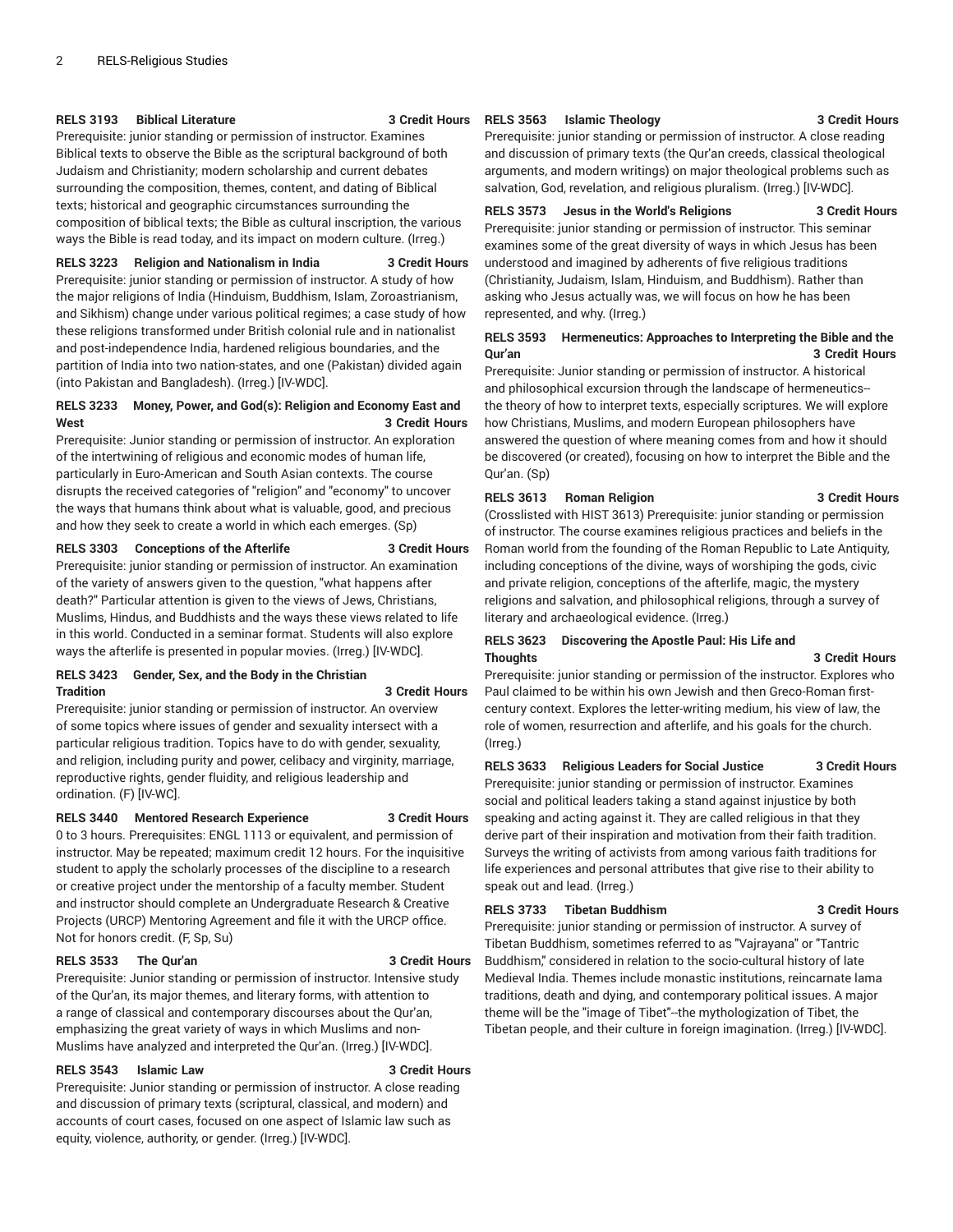### **RELS 3193 Biblical Literature 3 Credit Hours**

Prerequisite: junior standing or permission of instructor. Examines Biblical texts to observe the Bible as the scriptural background of both Judaism and Christianity; modern scholarship and current debates surrounding the composition, themes, content, and dating of Biblical texts; historical and geographic circumstances surrounding the composition of biblical texts; the Bible as cultural inscription, the various ways the Bible is read today, and its impact on modern culture. (Irreg.)

# **RELS 3223 Religion and Nationalism in India 3 Credit Hours**

Prerequisite: junior standing or permission of instructor. A study of how the major religions of India (Hinduism, Buddhism, Islam, Zoroastrianism, and Sikhism) change under various political regimes; a case study of how these religions transformed under British colonial rule and in nationalist and post-independence India, hardened religious boundaries, and the partition of India into two nation-states, and one (Pakistan) divided again (into Pakistan and Bangladesh). (Irreg.) [IV-WDC].

# **RELS 3233 Money, Power, and God(s): Religion and Economy East and West 3 Credit Hours**

Prerequisite: Junior standing or permission of instructor. An exploration of the intertwining of religious and economic modes of human life, particularly in Euro-American and South Asian contexts. The course disrupts the received categories of "religion" and "economy" to uncover the ways that humans think about what is valuable, good, and precious and how they seek to create a world in which each emerges. (Sp)

# **RELS 3303 Conceptions of the Afterlife 3 Credit Hours**

Prerequisite: junior standing or permission of instructor. An examination of the variety of answers given to the question, "what happens after death?" Particular attention is given to the views of Jews, Christians, Muslims, Hindus, and Buddhists and the ways these views related to life in this world. Conducted in a seminar format. Students will also explore ways the afterlife is presented in popular movies. (Irreg.) [IV-WDC].

# **RELS 3423 Gender, Sex, and the Body in the Christian Tradition 3 Credit Hours**

Prerequisite: junior standing or permission of instructor. An overview of some topics where issues of gender and sexuality intersect with a particular religious tradition. Topics have to do with gender, sexuality, and religion, including purity and power, celibacy and virginity, marriage, reproductive rights, gender fluidity, and religious leadership and ordination. (F) [IV-WC].

#### **RELS 3440 Mentored Research Experience 3 Credit Hours**

0 to 3 hours. Prerequisites: ENGL 1113 or equivalent, and permission of instructor. May be repeated; maximum credit 12 hours. For the inquisitive student to apply the scholarly processes of the discipline to a research or creative project under the mentorship of a faculty member. Student and instructor should complete an Undergraduate Research & Creative Projects (URCP) Mentoring Agreement and file it with the URCP office. Not for honors credit. (F, Sp, Su)

### **RELS 3533 The Qur'an 3 Credit Hours**

Prerequisite: Junior standing or permission of instructor. Intensive study of the Qur'an, its major themes, and literary forms, with attention to a range of classical and contemporary discourses about the Qur'an, emphasizing the great variety of ways in which Muslims and non-Muslims have analyzed and interpreted the Qur'an. (Irreg.) [IV-WDC].

#### **RELS 3543 Islamic Law 3 Credit Hours**

Prerequisite: Junior standing or permission of instructor. A close reading and discussion of primary texts (scriptural, classical, and modern) and accounts of court cases, focused on one aspect of Islamic law such as equity, violence, authority, or gender. (Irreg.) [IV-WDC].

### **RELS 3563 Islamic Theology 3 Credit Hours**

# Prerequisite: junior standing or permission of instructor. A close reading and discussion of primary texts (the Qur'an creeds, classical theological arguments, and modern writings) on major theological problems such as salvation, God, revelation, and religious pluralism. (Irreg.) [IV-WDC].

## **RELS 3573 Jesus in the World's Religions 3 Credit Hours**

Prerequisite: junior standing or permission of instructor. This seminar examines some of the great diversity of ways in which Jesus has been understood and imagined by adherents of five religious traditions (Christianity, Judaism, Islam, Hinduism, and Buddhism). Rather than asking who Jesus actually was, we will focus on how he has been represented, and why. (Irreg.)

### **RELS 3593 Hermeneutics: Approaches to Interpreting the Bible and the Qur'an 3 Credit Hours**

Prerequisite: Junior standing or permission of instructor. A historical and philosophical excursion through the landscape of hermeneutics- the theory of how to interpret texts, especially scriptures. We will explore how Christians, Muslims, and modern European philosophers have answered the question of where meaning comes from and how it should be discovered (or created), focusing on how to interpret the Bible and the Qur'an. (Sp)

# **RELS 3613 Roman Religion 3 Credit Hours**

(Crosslisted with HIST 3613) Prerequisite: junior standing or permission of instructor. The course examines religious practices and beliefs in the Roman world from the founding of the Roman Republic to Late Antiquity, including conceptions of the divine, ways of worshiping the gods, civic and private religion, conceptions of the afterlife, magic, the mystery religions and salvation, and philosophical religions, through a survey of literary and archaeological evidence. (Irreg.)

# **RELS 3623 Discovering the Apostle Paul: His Life and Thoughts 3 Credit Hours**

Prerequisite: junior standing or permission of the instructor. Explores who Paul claimed to be within his own Jewish and then Greco-Roman firstcentury context. Explores the letter-writing medium, his view of law, the role of women, resurrection and afterlife, and his goals for the church. (Irreg.)

#### **RELS 3633 Religious Leaders for Social Justice 3 Credit Hours**

Prerequisite: junior standing or permission of instructor. Examines social and political leaders taking a stand against injustice by both speaking and acting against it. They are called religious in that they derive part of their inspiration and motivation from their faith tradition. Surveys the writing of activists from among various faith traditions for life experiences and personal attributes that give rise to their ability to speak out and lead. (Irreg.)

#### **RELS 3733 Tibetan Buddhism 3 Credit Hours**

Prerequisite: junior standing or permission of instructor. A survey of Tibetan Buddhism, sometimes referred to as "Vajrayana" or "Tantric Buddhism," considered in relation to the socio-cultural history of late Medieval India. Themes include monastic institutions, reincarnate lama traditions, death and dying, and contemporary political issues. A major theme will be the "image of Tibet"--the mythologization of Tibet, the Tibetan people, and their culture in foreign imagination. (Irreg.) [IV-WDC].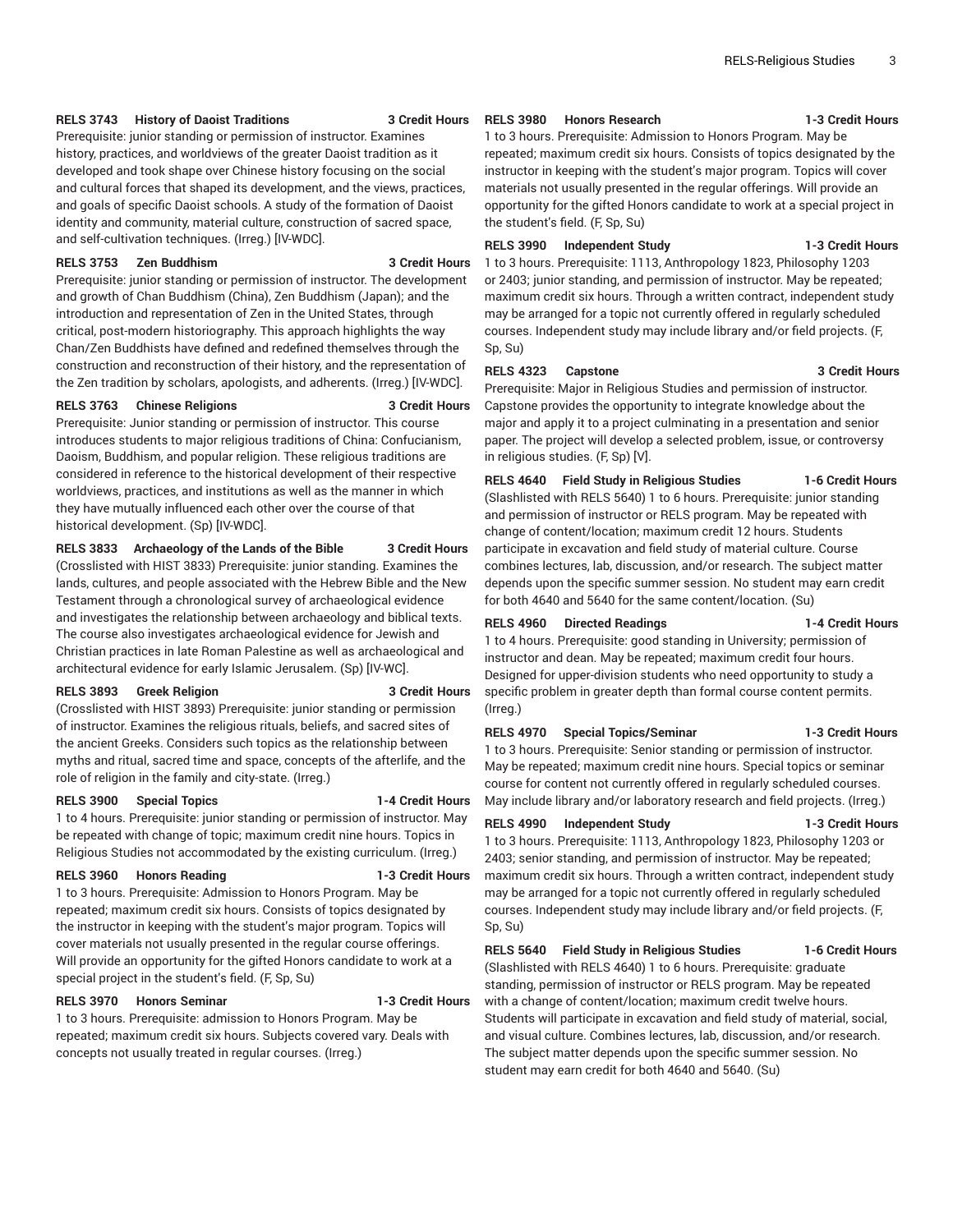### **RELS 3743 History of Daoist Traditions 3 Credit Hours**

Prerequisite: junior standing or permission of instructor. Examines history, practices, and worldviews of the greater Daoist tradition as it developed and took shape over Chinese history focusing on the social and cultural forces that shaped its development, and the views, practices, and goals of specific Daoist schools. A study of the formation of Daoist identity and community, material culture, construction of sacred space, and self-cultivation techniques. (Irreg.) [IV-WDC].

# **RELS 3753 Zen Buddhism 3 Credit Hours**

Prerequisite: junior standing or permission of instructor. The development and growth of Chan Buddhism (China), Zen Buddhism (Japan); and the introduction and representation of Zen in the United States, through critical, post-modern historiography. This approach highlights the way Chan/Zen Buddhists have defined and redefined themselves through the construction and reconstruction of their history, and the representation of the Zen tradition by scholars, apologists, and adherents. (Irreg.) [IV-WDC].

# **RELS 3763 Chinese Religions 3 Credit Hours**

Prerequisite: Junior standing or permission of instructor. This course introduces students to major religious traditions of China: Confucianism, Daoism, Buddhism, and popular religion. These religious traditions are considered in reference to the historical development of their respective worldviews, practices, and institutions as well as the manner in which they have mutually influenced each other over the course of that historical development. (Sp) [IV-WDC].

#### **RELS 3833 Archaeology of the Lands of the Bible 3 Credit Hours**

(Crosslisted with HIST 3833) Prerequisite: junior standing. Examines the lands, cultures, and people associated with the Hebrew Bible and the New Testament through a chronological survey of archaeological evidence and investigates the relationship between archaeology and biblical texts. The course also investigates archaeological evidence for Jewish and Christian practices in late Roman Palestine as well as archaeological and architectural evidence for early Islamic Jerusalem. (Sp) [IV-WC].

#### **RELS 3893 Greek Religion 3 Credit Hours**

(Crosslisted with HIST 3893) Prerequisite: junior standing or permission of instructor. Examines the religious rituals, beliefs, and sacred sites of the ancient Greeks. Considers such topics as the relationship between myths and ritual, sacred time and space, concepts of the afterlife, and the role of religion in the family and city-state. (Irreg.)

#### **RELS 3900 Special Topics 1-4 Credit Hours**

1 to 4 hours. Prerequisite: junior standing or permission of instructor. May be repeated with change of topic; maximum credit nine hours. Topics in Religious Studies not accommodated by the existing curriculum. (Irreg.)

#### **RELS 3960 Honors Reading 1-3 Credit Hours**

1 to 3 hours. Prerequisite: Admission to Honors Program. May be repeated; maximum credit six hours. Consists of topics designated by the instructor in keeping with the student's major program. Topics will cover materials not usually presented in the regular course offerings. Will provide an opportunity for the gifted Honors candidate to work at a special project in the student's field. (F, Sp, Su)

# **RELS 3970 Honors Seminar 1-3 Credit Hours**

1 to 3 hours. Prerequisite: admission to Honors Program. May be repeated; maximum credit six hours. Subjects covered vary. Deals with concepts not usually treated in regular courses. (Irreg.)

**RELS 3980 Honors Research 1-3 Credit Hours**

1 to 3 hours. Prerequisite: Admission to Honors Program. May be repeated; maximum credit six hours. Consists of topics designated by the instructor in keeping with the student's major program. Topics will cover materials not usually presented in the regular offerings. Will provide an opportunity for the gifted Honors candidate to work at a special project in the student's field. (F, Sp, Su)

# **RELS 3990 Independent Study 1-3 Credit Hours**

1 to 3 hours. Prerequisite: 1113, Anthropology 1823, Philosophy 1203 or 2403; junior standing, and permission of instructor. May be repeated; maximum credit six hours. Through a written contract, independent study may be arranged for a topic not currently offered in regularly scheduled courses. Independent study may include library and/or field projects. (F, Sp, Su)

### **RELS 4323 Capstone 3 Credit Hours**

Prerequisite: Major in Religious Studies and permission of instructor. Capstone provides the opportunity to integrate knowledge about the major and apply it to a project culminating in a presentation and senior paper. The project will develop a selected problem, issue, or controversy in religious studies. (F, Sp) [V].

**RELS 4640 Field Study in Religious Studies 1-6 Credit Hours** (Slashlisted with RELS 5640) 1 to 6 hours. Prerequisite: junior standing and permission of instructor or RELS program. May be repeated with change of content/location; maximum credit 12 hours. Students participate in excavation and field study of material culture. Course combines lectures, lab, discussion, and/or research. The subject matter depends upon the specific summer session. No student may earn credit for both 4640 and 5640 for the same content/location. (Su)

### **RELS 4960 Directed Readings 1-4 Credit Hours**

1 to 4 hours. Prerequisite: good standing in University; permission of instructor and dean. May be repeated; maximum credit four hours. Designed for upper-division students who need opportunity to study a specific problem in greater depth than formal course content permits. (Irreg.)

# **RELS 4970 Special Topics/Seminar 1-3 Credit Hours**

1 to 3 hours. Prerequisite: Senior standing or permission of instructor. May be repeated; maximum credit nine hours. Special topics or seminar course for content not currently offered in regularly scheduled courses. May include library and/or laboratory research and field projects. (Irreg.)

#### **RELS 4990 Independent Study 1-3 Credit Hours**

1 to 3 hours. Prerequisite: 1113, Anthropology 1823, Philosophy 1203 or 2403; senior standing, and permission of instructor. May be repeated; maximum credit six hours. Through a written contract, independent study may be arranged for a topic not currently offered in regularly scheduled courses. Independent study may include library and/or field projects. (F, Sp, Su)

# **RELS 5640 Field Study in Religious Studies 1-6 Credit Hours**

(Slashlisted with RELS 4640) 1 to 6 hours. Prerequisite: graduate standing, permission of instructor or RELS program. May be repeated with a change of content/location; maximum credit twelve hours. Students will participate in excavation and field study of material, social, and visual culture. Combines lectures, lab, discussion, and/or research. The subject matter depends upon the specific summer session. No student may earn credit for both 4640 and 5640. (Su)